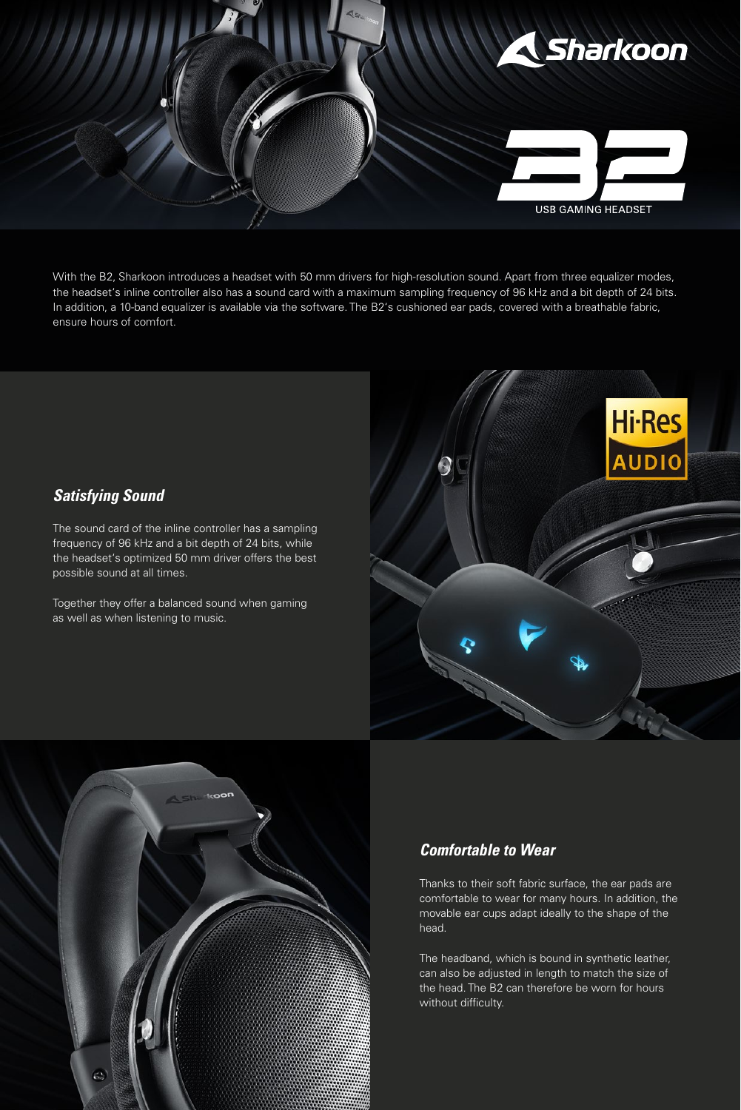

With the B2, Sharkoon introduces a headset with 50 mm drivers for high-resolution sound. Apart from three equalizer modes, the headset's inline controller also has a sound card with a maximum sampling frequency of 96 kHz and a bit depth of 24 bits. In addition, a 10-band equalizer is available via the software. The B2's cushioned ear pads, covered with a breathable fabric, ensure hours of comfort.

## *Satisfying Sound*

The sound card of the inline controller has a sampling frequency of 96 kHz and a bit depth of 24 bits, while the headset's optimized 50 mm driver offers the best possible sound at all times.

Together they offer a balanced sound when gaming as well as when listening to music.





### *Comfortable to Wear*

Thanks to their soft fabric surface, the ear pads are comfortable to wear for many hours. In addition, the movable ear cups adapt ideally to the shape of the head.

The headband, which is bound in synthetic leather, can also be adjusted in length to match the size of the head. The B2 can therefore be worn for hours without difficulty.